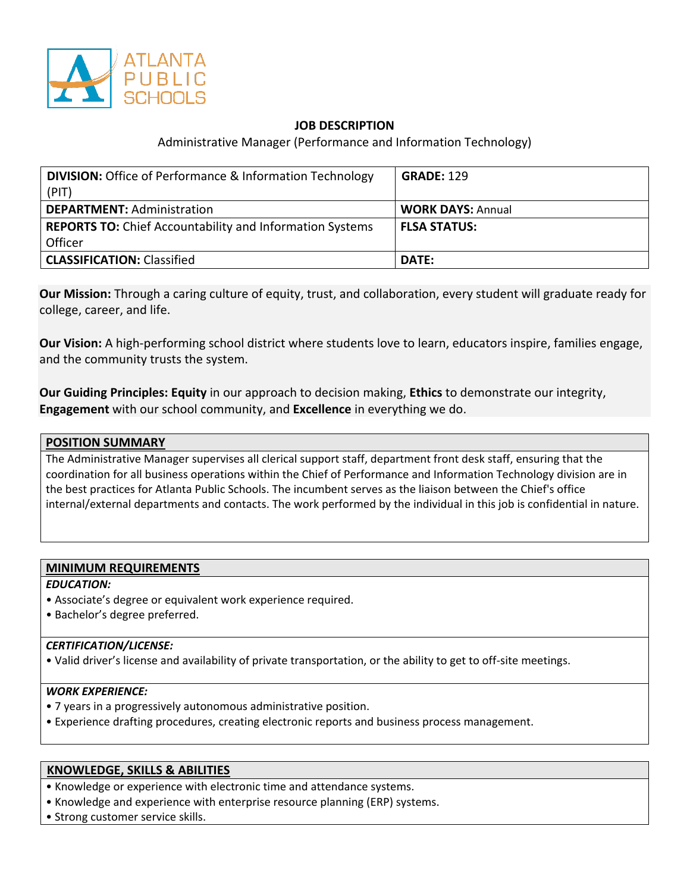

# **JOB DESCRIPTION**

## Administrative Manager (Performance and Information Technology)

| <b>DIVISION:</b> Office of Performance & Information Technology<br>(PIT) | <b>GRADE: 129</b>        |
|--------------------------------------------------------------------------|--------------------------|
| <b>DEPARTMENT: Administration</b>                                        | <b>WORK DAYS: Annual</b> |
| <b>REPORTS TO:</b> Chief Accountability and Information Systems          | <b>FLSA STATUS:</b>      |
| Officer                                                                  |                          |
| <b>CLASSIFICATION: Classified</b>                                        | DATE:                    |

**Our Mission:** Through a caring culture of equity, trust, and collaboration, every student will graduate ready for college, career, and life.

**Our Vision:** A high-performing school district where students love to learn, educators inspire, families engage, and the community trusts the system.

**Our Guiding Principles: Equity** in our approach to decision making, **Ethics** to demonstrate our integrity, **Engagement** with our school community, and **Excellence** in everything we do.

# **POSITION SUMMARY**  The Administrative Manager supervises all clerical support staff, department front desk staff, ensuring that the coordination for all business operations within the Chief of Performance and Information Technology division are in the best practices for Atlanta Public Schools. The incumbent serves as the liaison between the Chief's office internal/external departments and contacts. The work performed by the individual in this job is confidential in nature.

#### **MINIMUM REQUIREMENTS**

*EDUCATION:*

- Associate's degree or equivalent work experience required.
- Bachelor's degree preferred.

#### *CERTIFICATION/LICENSE:*

• Valid driver's license and availability of private transportation, or the ability to get to off-site meetings.

## *WORK EXPERIENCE:*

- 7 years in a progressively autonomous administrative position.
- Experience drafting procedures, creating electronic reports and business process management.

#### **KNOWLEDGE, SKILLS & ABILITIES**

- Knowledge or experience with electronic time and attendance systems.
- Knowledge and experience with enterprise resource planning (ERP) systems.
- Strong customer service skills.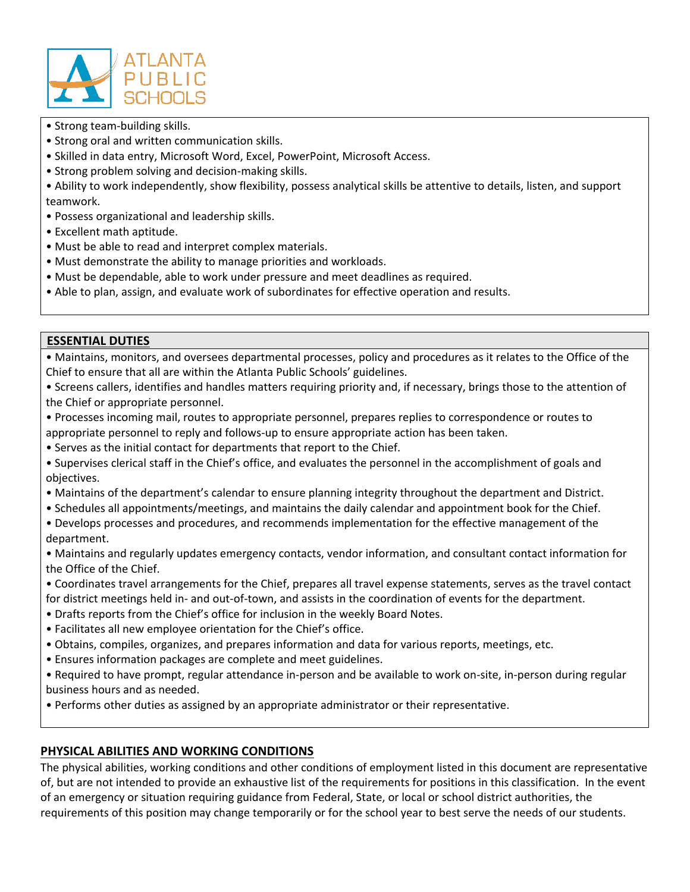

- Strong team-building skills.
- Strong oral and written communication skills.
- Skilled in data entry, Microsoft Word, Excel, PowerPoint, Microsoft Access.
- Strong problem solving and decision-making skills.
- Ability to work independently, show flexibility, possess analytical skills be attentive to details, listen, and support teamwork.
- Possess organizational and leadership skills.
- Excellent math aptitude.
- Must be able to read and interpret complex materials.
- Must demonstrate the ability to manage priorities and workloads.
- Must be dependable, able to work under pressure and meet deadlines as required.

• Able to plan, assign, and evaluate work of subordinates for effective operation and results.

## **ESSENTIAL DUTIES**

• Maintains, monitors, and oversees departmental processes, policy and procedures as it relates to the Office of the Chief to ensure that all are within the Atlanta Public Schools' guidelines.

• Screens callers, identifies and handles matters requiring priority and, if necessary, brings those to the attention of the Chief or appropriate personnel.

- Processes incoming mail, routes to appropriate personnel, prepares replies to correspondence or routes to appropriate personnel to reply and follows-up to ensure appropriate action has been taken.
- Serves as the initial contact for departments that report to the Chief.
- Supervises clerical staff in the Chief's office, and evaluates the personnel in the accomplishment of goals and objectives.
- Maintains of the department's calendar to ensure planning integrity throughout the department and District.
- Schedules all appointments/meetings, and maintains the daily calendar and appointment book for the Chief.
- Develops processes and procedures, and recommends implementation for the effective management of the department.

• Maintains and regularly updates emergency contacts, vendor information, and consultant contact information for the Office of the Chief.

- Coordinates travel arrangements for the Chief, prepares all travel expense statements, serves as the travel contact for district meetings held in- and out-of-town, and assists in the coordination of events for the department.
- Drafts reports from the Chief's office for inclusion in the weekly Board Notes.
- Facilitates all new employee orientation for the Chief's office.
- Obtains, compiles, organizes, and prepares information and data for various reports, meetings, etc.
- Ensures information packages are complete and meet guidelines.

• Required to have prompt, regular attendance in-person and be available to work on-site, in-person during regular business hours and as needed.

• Performs other duties as assigned by an appropriate administrator or their representative.

# **PHYSICAL ABILITIES AND WORKING CONDITIONS**

The physical abilities, working conditions and other conditions of employment listed in this document are representative of, but are not intended to provide an exhaustive list of the requirements for positions in this classification. In the event of an emergency or situation requiring guidance from Federal, State, or local or school district authorities, the requirements of this position may change temporarily or for the school year to best serve the needs of our students.